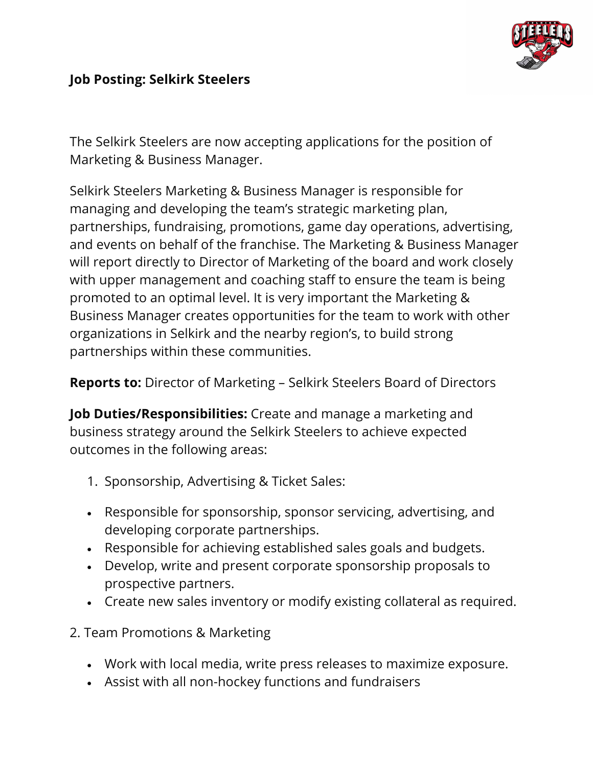

## **Job Posting: Selkirk Steelers**

The Selkirk Steelers are now accepting applications for the position of Marketing & Business Manager.

Selkirk Steelers Marketing & Business Manager is responsible for managing and developing the team's strategic marketing plan, partnerships, fundraising, promotions, game day operations, advertising, and events on behalf of the franchise. The Marketing & Business Manager will report directly to Director of Marketing of the board and work closely with upper management and coaching staff to ensure the team is being promoted to an optimal level. It is very important the Marketing & Business Manager creates opportunities for the team to work with other organizations in Selkirk and the nearby region's, to build strong partnerships within these communities.

**Reports to:** Director of Marketing – Selkirk Steelers Board of Directors

**Job Duties/Responsibilities:** Create and manage a marketing and business strategy around the Selkirk Steelers to achieve expected outcomes in the following areas:

- 1. Sponsorship, Advertising & Ticket Sales:
- Responsible for sponsorship, sponsor servicing, advertising, and developing corporate partnerships.
- Responsible for achieving established sales goals and budgets.
- Develop, write and present corporate sponsorship proposals to prospective partners.
- Create new sales inventory or modify existing collateral as required.
- 2. Team Promotions & Marketing
	- Work with local media, write press releases to maximize exposure.
	- Assist with all non-hockey functions and fundraisers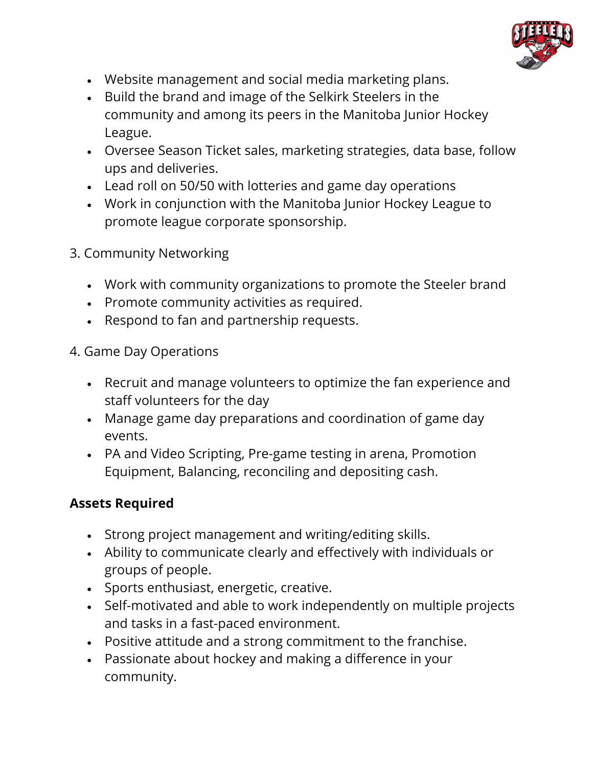

- Website management and social media marketing plans.
- Build the brand and image of the Selkirk Steelers in the community and among its peers in the Manitoba Junior Hockey League.
- Oversee Season Ticket sales, marketing strategies, data base, follow ups and deliveries.
- Lead roll on 50/50 with lotteries and game day operations
- Work in conjunction with the Manitoba Junior Hockey League to promote league corporate sponsorship.
- 3. Community Networking
	- Work with community organizations to promote the Steeler brand
	- Promote community activities as required.
	- Respond to fan and partnership requests.
- 4. Game Day Operations
	- Recruit and manage volunteers to optimize the fan experience and staff volunteers for the day
	- Manage game day preparations and coordination of game day events.
	- PA and Video Scripting, Pre-game testing in arena, Promotion Equipment, Balancing, reconciling and depositing cash.

## **Assets Required**

- Strong project management and writing/editing skills.
- Ability to communicate clearly and effectively with individuals or groups of people.
- Sports enthusiast, energetic, creative.
- Self-motivated and able to work independently on multiple projects and tasks in a fast-paced environment.
- Positive attitude and a strong commitment to the franchise.
- Passionate about hockey and making a difference in your community.